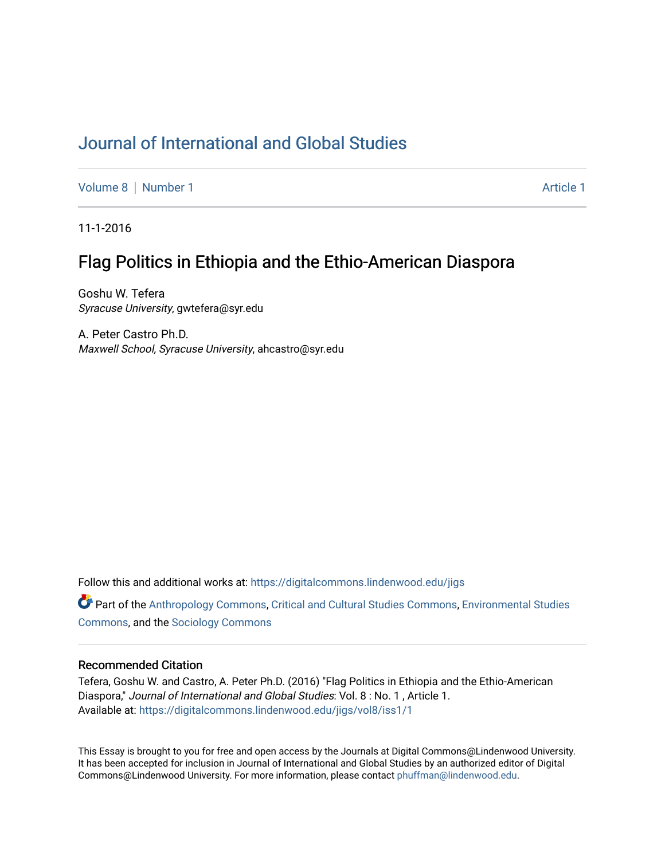# [Journal of International and Global Studies](https://digitalcommons.lindenwood.edu/jigs)

[Volume 8](https://digitalcommons.lindenwood.edu/jigs/vol8) | [Number 1](https://digitalcommons.lindenwood.edu/jigs/vol8/iss1) Article 1

11-1-2016

## Flag Politics in Ethiopia and the Ethio-American Diaspora

Goshu W. Tefera Syracuse University, gwtefera@syr.edu

A. Peter Castro Ph.D. Maxwell School, Syracuse University, ahcastro@syr.edu

Follow this and additional works at: [https://digitalcommons.lindenwood.edu/jigs](https://digitalcommons.lindenwood.edu/jigs?utm_source=digitalcommons.lindenwood.edu%2Fjigs%2Fvol8%2Fiss1%2F1&utm_medium=PDF&utm_campaign=PDFCoverPages) 

**C** Part of the [Anthropology Commons](http://network.bepress.com/hgg/discipline/318?utm_source=digitalcommons.lindenwood.edu%2Fjigs%2Fvol8%2Fiss1%2F1&utm_medium=PDF&utm_campaign=PDFCoverPages), [Critical and Cultural Studies Commons](http://network.bepress.com/hgg/discipline/328?utm_source=digitalcommons.lindenwood.edu%2Fjigs%2Fvol8%2Fiss1%2F1&utm_medium=PDF&utm_campaign=PDFCoverPages), Environmental Studies [Commons](http://network.bepress.com/hgg/discipline/1333?utm_source=digitalcommons.lindenwood.edu%2Fjigs%2Fvol8%2Fiss1%2F1&utm_medium=PDF&utm_campaign=PDFCoverPages), and the [Sociology Commons](http://network.bepress.com/hgg/discipline/416?utm_source=digitalcommons.lindenwood.edu%2Fjigs%2Fvol8%2Fiss1%2F1&utm_medium=PDF&utm_campaign=PDFCoverPages)

#### Recommended Citation

Tefera, Goshu W. and Castro, A. Peter Ph.D. (2016) "Flag Politics in Ethiopia and the Ethio-American Diaspora," Journal of International and Global Studies: Vol. 8 : No. 1 , Article 1. Available at: [https://digitalcommons.lindenwood.edu/jigs/vol8/iss1/1](https://digitalcommons.lindenwood.edu/jigs/vol8/iss1/1?utm_source=digitalcommons.lindenwood.edu%2Fjigs%2Fvol8%2Fiss1%2F1&utm_medium=PDF&utm_campaign=PDFCoverPages)

This Essay is brought to you for free and open access by the Journals at Digital Commons@Lindenwood University. It has been accepted for inclusion in Journal of International and Global Studies by an authorized editor of Digital Commons@Lindenwood University. For more information, please contact [phuffman@lindenwood.edu](mailto:phuffman@lindenwood.edu).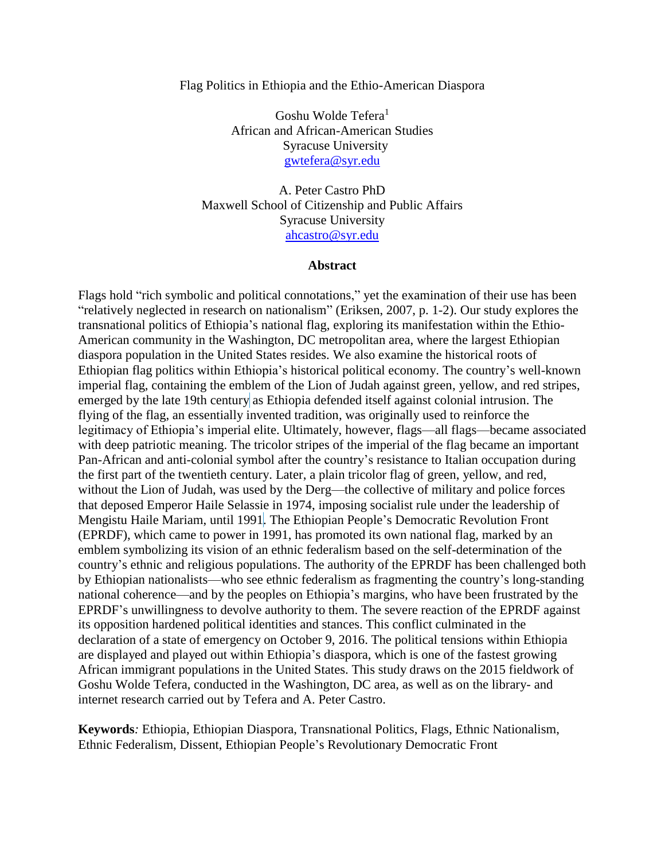#### Flag Politics in Ethiopia and the Ethio-American Diaspora

Goshu Wolde Tefera<sup>1</sup> African and African-American Studies Syracuse University [gwtefera@syr.edu](mailto:gwtefera@syr.edu)

A. Peter Castro PhD Maxwell School of Citizenship and Public Affairs Syracuse University [ahcastro@syr.edu](mailto:ahcastro@syr.edu)

#### **Abstract**

Flags hold "rich symbolic and political connotations," yet the examination of their use has been "relatively neglected in research on nationalism" (Eriksen, 2007, p. 1-2). Our study explores the transnational politics of Ethiopia's national flag, exploring its manifestation within the Ethio-American community in the Washington, DC metropolitan area, where the largest Ethiopian diaspora population in the United States resides. We also examine the historical roots of Ethiopian flag politics within Ethiopia's historical political economy. The country's well-known imperial flag, containing the emblem of the Lion of Judah against green, yellow, and red stripes, emerged by the late 19th century as Ethiopia defended itself against colonial intrusion. The flying of the flag, an essentially invented tradition, was originally used to reinforce the legitimacy of Ethiopia's imperial elite. Ultimately, however, flags—all flags—became associated with deep patriotic meaning. The tricolor stripes of the imperial of the flag became an important Pan-African and anti-colonial symbol after the country's resistance to Italian occupation during the first part of the twentieth century. Later, a plain tricolor flag of green, yellow, and red, without the Lion of Judah, was used by the Derg—the collective of military and police forces that deposed Emperor Haile Selassie in 1974, imposing socialist rule under the leadership of Mengistu Haile Mariam, until 1991. The Ethiopian People's Democratic Revolution Front (EPRDF), which came to power in 1991, has promoted its own national flag, marked by an emblem symbolizing its vision of an ethnic federalism based on the self-determination of the country's ethnic and religious populations. The authority of the EPRDF has been challenged both by Ethiopian nationalists—who see ethnic federalism as fragmenting the country's long-standing national coherence—and by the peoples on Ethiopia's margins, who have been frustrated by the EPRDF's unwillingness to devolve authority to them. The severe reaction of the EPRDF against its opposition hardened political identities and stances. This conflict culminated in the declaration of a state of emergency on October 9, 2016. The political tensions within Ethiopia are displayed and played out within Ethiopia's diaspora, which is one of the fastest growing African immigrant populations in the United States. This study draws on the 2015 fieldwork of Goshu Wolde Tefera, conducted in the Washington, DC area, as well as on the library- and internet research carried out by Tefera and A. Peter Castro.

**Keywords***:* Ethiopia, Ethiopian Diaspora, Transnational Politics, Flags, Ethnic Nationalism, Ethnic Federalism, Dissent, Ethiopian People's Revolutionary Democratic Front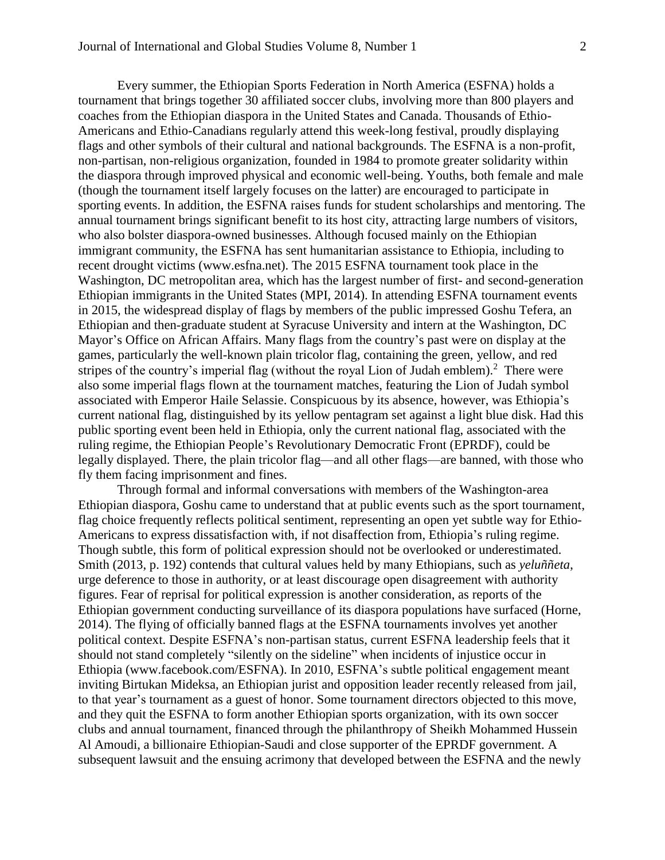Every summer, the Ethiopian Sports Federation in North America (ESFNA) holds a tournament that brings together 30 affiliated soccer clubs, involving more than 800 players and coaches from the Ethiopian diaspora in the United States and Canada. Thousands of Ethio-Americans and Ethio-Canadians regularly attend this week-long festival, proudly displaying flags and other symbols of their cultural and national backgrounds. The ESFNA is a non-profit, non-partisan, non-religious organization, founded in 1984 to promote greater solidarity within the diaspora through improved physical and economic well-being. Youths, both female and male (though the tournament itself largely focuses on the latter) are encouraged to participate in sporting events. In addition, the ESFNA raises funds for student scholarships and mentoring. The annual tournament brings significant benefit to its host city, attracting large numbers of visitors, who also bolster diaspora-owned businesses. Although focused mainly on the Ethiopian immigrant community, the ESFNA has sent humanitarian assistance to Ethiopia, including to recent drought victims (www.esfna.net). The 2015 ESFNA tournament took place in the Washington, DC metropolitan area, which has the largest number of first- and second-generation Ethiopian immigrants in the United States (MPI, 2014). In attending ESFNA tournament events in 2015, the widespread display of flags by members of the public impressed Goshu Tefera, an Ethiopian and then-graduate student at Syracuse University and intern at the Washington, DC Mayor's Office on African Affairs. Many flags from the country's past were on display at the games, particularly the well-known plain tricolor flag, containing the green, yellow, and red stripes of the country's imperial flag (without the royal Lion of Judah emblem).<sup>2</sup> There were also some imperial flags flown at the tournament matches, featuring the Lion of Judah symbol associated with Emperor Haile Selassie. Conspicuous by its absence, however, was Ethiopia's current national flag, distinguished by its yellow pentagram set against a light blue disk. Had this public sporting event been held in Ethiopia, only the current national flag, associated with the ruling regime, the Ethiopian People's Revolutionary Democratic Front (EPRDF), could be legally displayed. There, the plain tricolor flag—and all other flags—are banned, with those who fly them facing imprisonment and fines.

Through formal and informal conversations with members of the Washington-area Ethiopian diaspora, Goshu came to understand that at public events such as the sport tournament, flag choice frequently reflects political sentiment, representing an open yet subtle way for Ethio-Americans to express dissatisfaction with, if not disaffection from, Ethiopia's ruling regime. Though subtle, this form of political expression should not be overlooked or underestimated. Smith (2013, p. 192) contends that cultural values held by many Ethiopians, such as *yeluññeta*, urge deference to those in authority, or at least discourage open disagreement with authority figures. Fear of reprisal for political expression is another consideration, as reports of the Ethiopian government conducting surveillance of its diaspora populations have surfaced (Horne, 2014). The flying of officially banned flags at the ESFNA tournaments involves yet another political context. Despite ESFNA's non-partisan status, current ESFNA leadership feels that it should not stand completely "silently on the sideline" when incidents of injustice occur in Ethiopia (www.facebook.com/ESFNA). In 2010, ESFNA's subtle political engagement meant inviting Birtukan Mideksa, an Ethiopian jurist and opposition leader recently released from jail, to that year's tournament as a guest of honor. Some tournament directors objected to this move, and they quit the ESFNA to form another Ethiopian sports organization, with its own soccer clubs and annual tournament, financed through the philanthropy of Sheikh Mohammed Hussein Al Amoudi, a billionaire Ethiopian-Saudi and close supporter of the EPRDF government. A subsequent lawsuit and the ensuing acrimony that developed between the ESFNA and the newly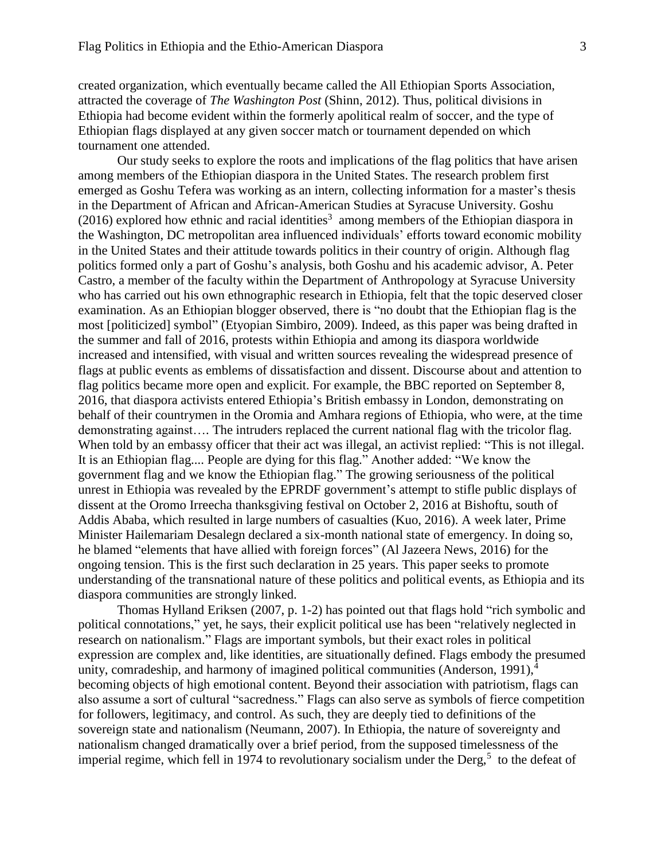created organization, which eventually became called the All Ethiopian Sports Association, attracted the coverage of *The Washington Post* (Shinn, 2012). Thus, political divisions in Ethiopia had become evident within the formerly apolitical realm of soccer, and the type of Ethiopian flags displayed at any given soccer match or tournament depended on which tournament one attended.

Our study seeks to explore the roots and implications of the flag politics that have arisen among members of the Ethiopian diaspora in the United States. The research problem first emerged as Goshu Tefera was working as an intern, collecting information for a master's thesis in the Department of African and African-American Studies at Syracuse University. Goshu  $(2016)$  explored how ethnic and racial identities<sup>3</sup> among members of the Ethiopian diaspora in the Washington, DC metropolitan area influenced individuals' efforts toward economic mobility in the United States and their attitude towards politics in their country of origin. Although flag politics formed only a part of Goshu's analysis, both Goshu and his academic advisor, A. Peter Castro, a member of the faculty within the Department of Anthropology at Syracuse University who has carried out his own ethnographic research in Ethiopia, felt that the topic deserved closer examination. As an Ethiopian blogger observed, there is "no doubt that the Ethiopian flag is the most [politicized] symbol" (Etyopian Simbiro, 2009). Indeed, as this paper was being drafted in the summer and fall of 2016, protests within Ethiopia and among its diaspora worldwide increased and intensified, with visual and written sources revealing the widespread presence of flags at public events as emblems of dissatisfaction and dissent. Discourse about and attention to flag politics became more open and explicit. For example, the BBC reported on September 8, 2016, that diaspora activists entered Ethiopia's British embassy in London, demonstrating on behalf of their countrymen in the Oromia and Amhara regions of Ethiopia, who were, at the time demonstrating against…. The intruders replaced the current national flag with the tricolor flag. When told by an embassy officer that their act was illegal, an activist replied: "This is not illegal. It is an Ethiopian flag.... People are dying for this flag." Another added: "We know the government flag and we know the Ethiopian flag." The growing seriousness of the political unrest in Ethiopia was revealed by the EPRDF government's attempt to stifle public displays of dissent at the Oromo Irreecha thanksgiving festival on October 2, 2016 at Bishoftu, south of Addis Ababa, which resulted in large numbers of casualties (Kuo, 2016). A week later, Prime Minister Hailemariam Desalegn declared a six-month national state of emergency. In doing so, he blamed "elements that have allied with foreign forces" (Al Jazeera News, 2016) for the ongoing tension. This is the first such declaration in 25 years. This paper seeks to promote understanding of the transnational nature of these politics and political events, as Ethiopia and its diaspora communities are strongly linked.

Thomas Hylland Eriksen (2007, p. 1-2) has pointed out that flags hold "rich symbolic and political connotations," yet, he says, their explicit political use has been "relatively neglected in research on nationalism." Flags are important symbols, but their exact roles in political expression are complex and, like identities, are situationally defined. Flags embody the presumed unity, comradeship, and harmony of imagined political communities (Anderson,  $1991$ ),<sup>4</sup> becoming objects of high emotional content. Beyond their association with patriotism, flags can also assume a sort of cultural "sacredness." Flags can also serve as symbols of fierce competition for followers, legitimacy, and control. As such, they are deeply tied to definitions of the sovereign state and nationalism (Neumann, 2007). In Ethiopia, the nature of sovereignty and nationalism changed dramatically over a brief period, from the supposed timelessness of the imperial regime, which fell in 1974 to revolutionary socialism under the Derg, $5$  to the defeat of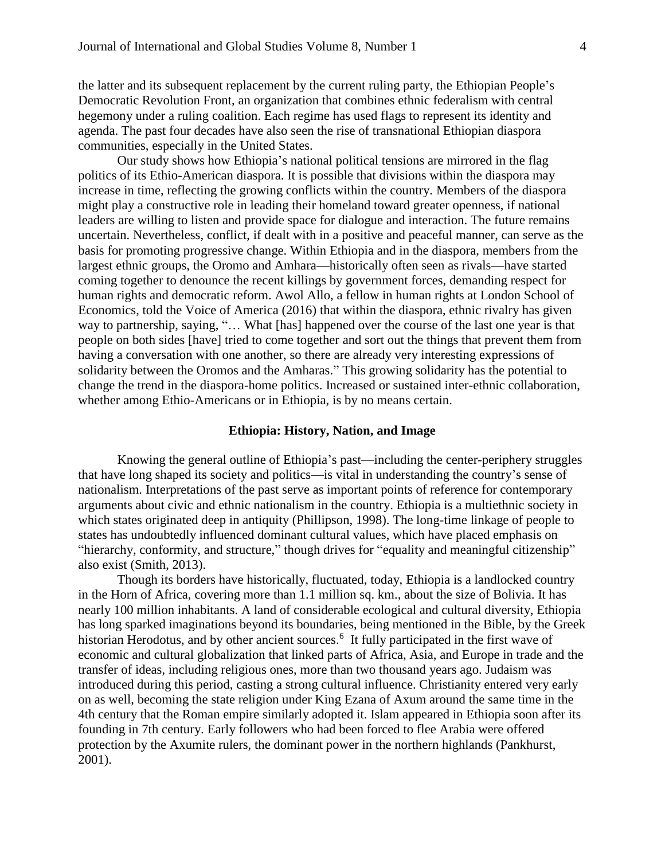the latter and its subsequent replacement by the current ruling party, the Ethiopian People's Democratic Revolution Front, an organization that combines ethnic federalism with central hegemony under a ruling coalition. Each regime has used flags to represent its identity and agenda. The past four decades have also seen the rise of transnational Ethiopian diaspora communities, especially in the United States.

Our study shows how Ethiopia's national political tensions are mirrored in the flag politics of its Ethio-American diaspora. It is possible that divisions within the diaspora may increase in time, reflecting the growing conflicts within the country. Members of the diaspora might play a constructive role in leading their homeland toward greater openness, if national leaders are willing to listen and provide space for dialogue and interaction. The future remains uncertain. Nevertheless, conflict, if dealt with in a positive and peaceful manner, can serve as the basis for promoting progressive change. Within Ethiopia and in the diaspora, members from the largest ethnic groups, the Oromo and Amhara—historically often seen as rivals—have started coming together to denounce the recent killings by government forces, demanding respect for human rights and democratic reform. Awol Allo, a fellow in human rights at London School of Economics, told the Voice of America (2016) that within the diaspora, ethnic rivalry has given way to partnership, saying, "… What [has] happened over the course of the last one year is that people on both sides [have] tried to come together and sort out the things that prevent them from having a conversation with one another, so there are already very interesting expressions of solidarity between the Oromos and the Amharas." This growing solidarity has the potential to change the trend in the diaspora-home politics. Increased or sustained inter-ethnic collaboration, whether among Ethio-Americans or in Ethiopia, is by no means certain.

#### **Ethiopia: History, Nation, and Image**

Knowing the general outline of Ethiopia's past—including the center-periphery struggles that have long shaped its society and politics—is vital in understanding the country's sense of nationalism. Interpretations of the past serve as important points of reference for contemporary arguments about civic and ethnic nationalism in the country. Ethiopia is a multiethnic society in which states originated deep in antiquity (Phillipson, 1998). The long-time linkage of people to states has undoubtedly influenced dominant cultural values, which have placed emphasis on "hierarchy, conformity, and structure," though drives for "equality and meaningful citizenship" also exist (Smith, 2013).

Though its borders have historically, fluctuated, today, Ethiopia is a landlocked country in the Horn of Africa, covering more than 1.1 million sq. km., about the size of Bolivia. It has nearly 100 million inhabitants. A land of considerable ecological and cultural diversity, Ethiopia has long sparked imaginations beyond its boundaries, being mentioned in the Bible, by the Greek historian Herodotus, and by other ancient sources.<sup>6</sup> It fully participated in the first wave of economic and cultural globalization that linked parts of Africa, Asia, and Europe in trade and the transfer of ideas, including religious ones, more than two thousand years ago. Judaism was introduced during this period, casting a strong cultural influence. Christianity entered very early on as well, becoming the state religion under King Ezana of Axum around the same time in the 4th century that the Roman empire similarly adopted it. Islam appeared in Ethiopia soon after its founding in 7th century. Early followers who had been forced to flee Arabia were offered protection by the Axumite rulers, the dominant power in the northern highlands (Pankhurst, 2001).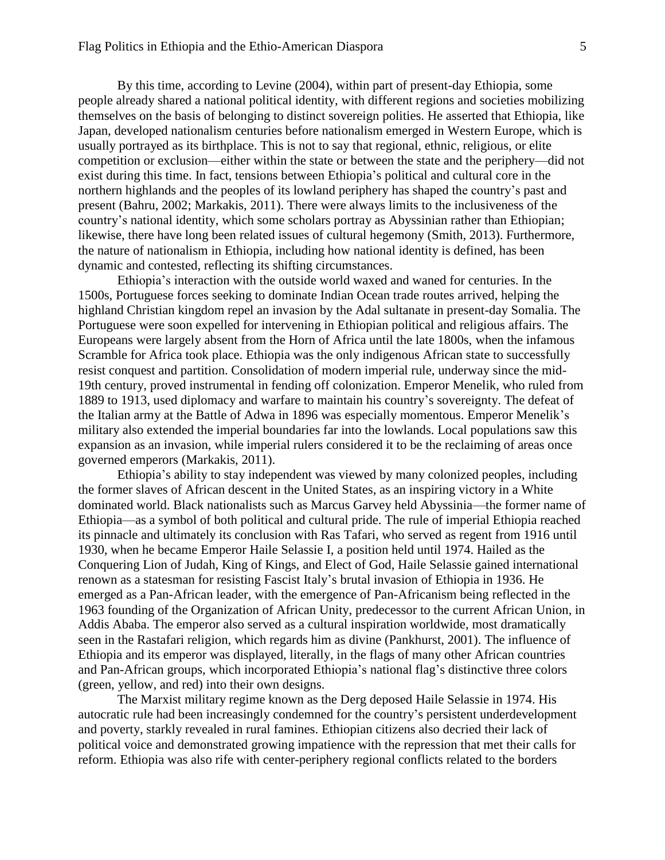By this time, according to Levine (2004), within part of present-day Ethiopia, some people already shared a national political identity, with different regions and societies mobilizing themselves on the basis of belonging to distinct sovereign polities. He asserted that Ethiopia, like Japan, developed nationalism centuries before nationalism emerged in Western Europe, which is usually portrayed as its birthplace. This is not to say that regional, ethnic, religious, or elite competition or exclusion—either within the state or between the state and the periphery—did not exist during this time. In fact, tensions between Ethiopia's political and cultural core in the northern highlands and the peoples of its lowland periphery has shaped the country's past and present (Bahru, 2002; Markakis, 2011). There were always limits to the inclusiveness of the country's national identity, which some scholars portray as Abyssinian rather than Ethiopian; likewise, there have long been related issues of cultural hegemony (Smith, 2013). Furthermore, the nature of nationalism in Ethiopia, including how national identity is defined, has been dynamic and contested, reflecting its shifting circumstances.

Ethiopia's interaction with the outside world waxed and waned for centuries. In the 1500s, Portuguese forces seeking to dominate Indian Ocean trade routes arrived, helping the highland Christian kingdom repel an invasion by the Adal sultanate in present-day Somalia. The Portuguese were soon expelled for intervening in Ethiopian political and religious affairs. The Europeans were largely absent from the Horn of Africa until the late 1800s, when the infamous Scramble for Africa took place. Ethiopia was the only indigenous African state to successfully resist conquest and partition. Consolidation of modern imperial rule, underway since the mid-19th century, proved instrumental in fending off colonization. Emperor Menelik, who ruled from 1889 to 1913, used diplomacy and warfare to maintain his country's sovereignty. The defeat of the Italian army at the Battle of Adwa in 1896 was especially momentous. Emperor Menelik's military also extended the imperial boundaries far into the lowlands. Local populations saw this expansion as an invasion, while imperial rulers considered it to be the reclaiming of areas once governed emperors (Markakis, 2011).

Ethiopia's ability to stay independent was viewed by many colonized peoples, including the former slaves of African descent in the United States, as an inspiring victory in a White dominated world. Black nationalists such as Marcus Garvey held Abyssinia—the former name of Ethiopia—as a symbol of both political and cultural pride. The rule of imperial Ethiopia reached its pinnacle and ultimately its conclusion with Ras Tafari, who served as regent from 1916 until 1930, when he became Emperor Haile Selassie I, a position held until 1974. Hailed as the Conquering Lion of Judah, King of Kings, and Elect of God, Haile Selassie gained international renown as a statesman for resisting Fascist Italy's brutal invasion of Ethiopia in 1936. He emerged as a Pan-African leader, with the emergence of Pan-Africanism being reflected in the 1963 founding of the Organization of African Unity, predecessor to the current African Union, in Addis Ababa. The emperor also served as a cultural inspiration worldwide, most dramatically seen in the Rastafari religion, which regards him as divine (Pankhurst, 2001). The influence of Ethiopia and its emperor was displayed, literally, in the flags of many other African countries and Pan-African groups, which incorporated Ethiopia's national flag's distinctive three colors (green, yellow, and red) into their own designs.

The Marxist military regime known as the Derg deposed Haile Selassie in 1974. His autocratic rule had been increasingly condemned for the country's persistent underdevelopment and poverty, starkly revealed in rural famines. Ethiopian citizens also decried their lack of political voice and demonstrated growing impatience with the repression that met their calls for reform. Ethiopia was also rife with center-periphery regional conflicts related to the borders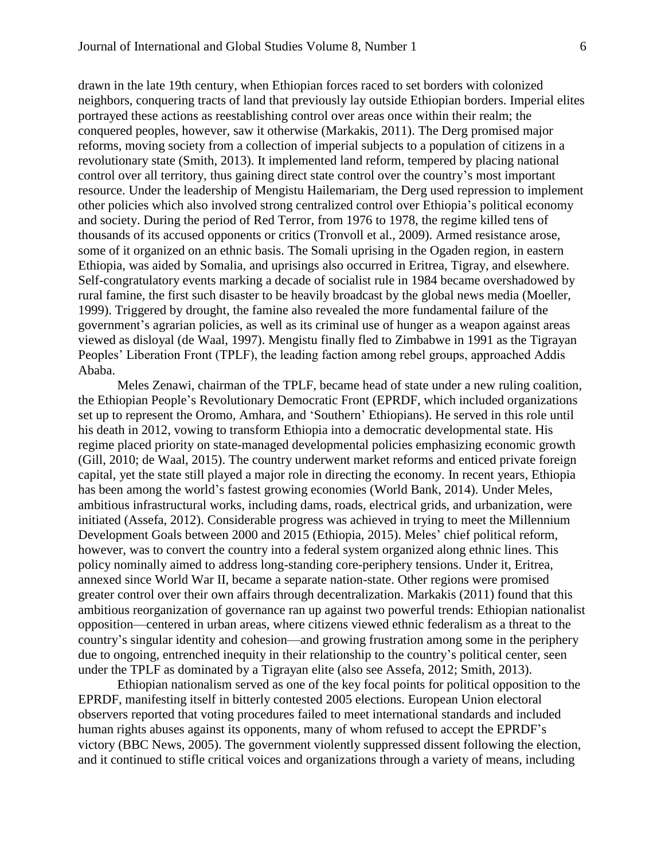drawn in the late 19th century, when Ethiopian forces raced to set borders with colonized neighbors, conquering tracts of land that previously lay outside Ethiopian borders. Imperial elites portrayed these actions as reestablishing control over areas once within their realm; the conquered peoples, however, saw it otherwise (Markakis, 2011). The Derg promised major reforms, moving society from a collection of imperial subjects to a population of citizens in a revolutionary state (Smith, 2013). It implemented land reform, tempered by placing national control over all territory, thus gaining direct state control over the country's most important resource. Under the leadership of Mengistu Hailemariam, the Derg used repression to implement other policies which also involved strong centralized control over Ethiopia's political economy and society. During the period of Red Terror, from 1976 to 1978, the regime killed tens of thousands of its accused opponents or critics (Tronvoll et al., 2009). Armed resistance arose, some of it organized on an ethnic basis. The Somali uprising in the Ogaden region, in eastern Ethiopia, was aided by Somalia, and uprisings also occurred in Eritrea, Tigray, and elsewhere. Self-congratulatory events marking a decade of socialist rule in 1984 became overshadowed by rural famine, the first such disaster to be heavily broadcast by the global news media (Moeller, 1999). Triggered by drought, the famine also revealed the more fundamental failure of the government's agrarian policies, as well as its criminal use of hunger as a weapon against areas viewed as disloyal (de Waal, 1997). Mengistu finally fled to Zimbabwe in 1991 as the Tigrayan Peoples' Liberation Front (TPLF), the leading faction among rebel groups, approached Addis Ababa.

Meles Zenawi, chairman of the TPLF, became head of state under a new ruling coalition, the Ethiopian People's Revolutionary Democratic Front (EPRDF, which included organizations set up to represent the Oromo, Amhara, and 'Southern' Ethiopians). He served in this role until his death in 2012, vowing to transform Ethiopia into a democratic developmental state. His regime placed priority on state-managed developmental policies emphasizing economic growth (Gill, 2010; de Waal, 2015). The country underwent market reforms and enticed private foreign capital, yet the state still played a major role in directing the economy. In recent years, Ethiopia has been among the world's fastest growing economies (World Bank, 2014). Under Meles, ambitious infrastructural works, including dams, roads, electrical grids, and urbanization, were initiated (Assefa, 2012). Considerable progress was achieved in trying to meet the Millennium Development Goals between 2000 and 2015 (Ethiopia, 2015). Meles' chief political reform, however, was to convert the country into a federal system organized along ethnic lines. This policy nominally aimed to address long-standing core-periphery tensions. Under it, Eritrea, annexed since World War II, became a separate nation-state. Other regions were promised greater control over their own affairs through decentralization. Markakis (2011) found that this ambitious reorganization of governance ran up against two powerful trends: Ethiopian nationalist opposition—centered in urban areas, where citizens viewed ethnic federalism as a threat to the country's singular identity and cohesion—and growing frustration among some in the periphery due to ongoing, entrenched inequity in their relationship to the country's political center, seen under the TPLF as dominated by a Tigrayan elite (also see Assefa, 2012; Smith, 2013).

Ethiopian nationalism served as one of the key focal points for political opposition to the EPRDF, manifesting itself in bitterly contested 2005 elections. European Union electoral observers reported that voting procedures failed to meet international standards and included human rights abuses against its opponents, many of whom refused to accept the EPRDF's victory (BBC News, 2005). The government violently suppressed dissent following the election, and it continued to stifle critical voices and organizations through a variety of means, including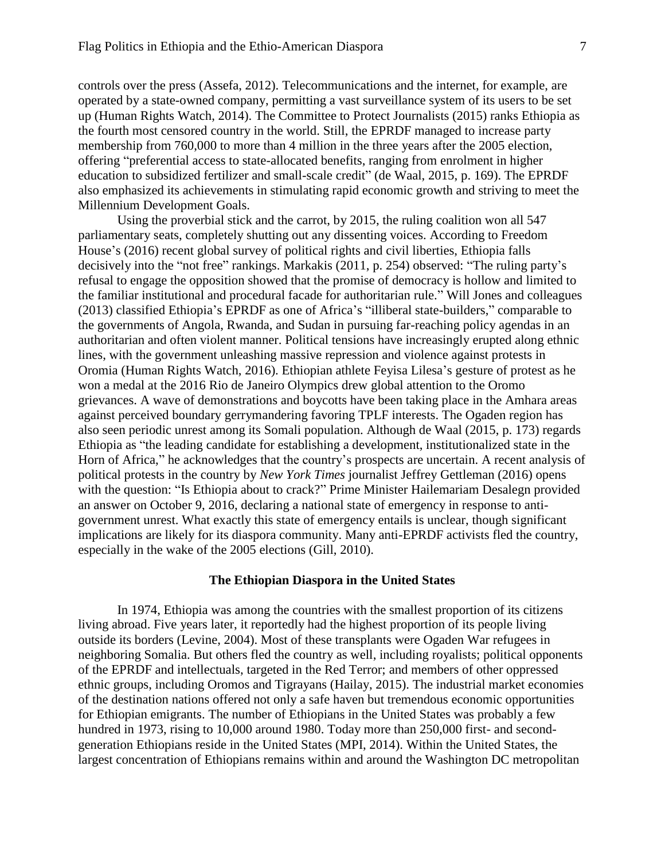controls over the press (Assefa, 2012). Telecommunications and the internet, for example, are operated by a state-owned company, permitting a vast surveillance system of its users to be set up (Human Rights Watch, 2014). The Committee to Protect Journalists (2015) ranks Ethiopia as the fourth most censored country in the world. Still, the EPRDF managed to increase party membership from 760,000 to more than 4 million in the three years after the 2005 election, offering "preferential access to state-allocated benefits, ranging from enrolment in higher education to subsidized fertilizer and small-scale credit" (de Waal, 2015, p. 169). The EPRDF also emphasized its achievements in stimulating rapid economic growth and striving to meet the Millennium Development Goals.

Using the proverbial stick and the carrot, by 2015, the ruling coalition won all 547 parliamentary seats, completely shutting out any dissenting voices. According to Freedom House's (2016) recent global survey of political rights and civil liberties, Ethiopia falls decisively into the "not free" rankings. Markakis (2011, p. 254) observed: "The ruling party's refusal to engage the opposition showed that the promise of democracy is hollow and limited to the familiar institutional and procedural facade for authoritarian rule." Will Jones and colleagues (2013) classified Ethiopia's EPRDF as one of Africa's "illiberal state-builders," comparable to the governments of Angola, Rwanda, and Sudan in pursuing far-reaching policy agendas in an authoritarian and often violent manner. Political tensions have increasingly erupted along ethnic lines, with the government unleashing massive repression and violence against protests in Oromia (Human Rights Watch, 2016). Ethiopian athlete Feyisa Lilesa's gesture of protest as he won a medal at the 2016 Rio de Janeiro Olympics drew global attention to the Oromo grievances. A wave of demonstrations and boycotts have been taking place in the Amhara areas against perceived boundary gerrymandering favoring TPLF interests. The Ogaden region has also seen periodic unrest among its Somali population. Although de Waal (2015, p. 173) regards Ethiopia as "the leading candidate for establishing a development, institutionalized state in the Horn of Africa," he acknowledges that the country's prospects are uncertain. A recent analysis of political protests in the country by *New York Times* journalist Jeffrey Gettleman (2016) opens with the question: "Is Ethiopia about to crack?" Prime Minister Hailemariam Desalegn provided an answer on October 9, 2016, declaring a national state of emergency in response to antigovernment unrest. What exactly this state of emergency entails is unclear, though significant implications are likely for its diaspora community. Many anti-EPRDF activists fled the country, especially in the wake of the 2005 elections (Gill, 2010).

#### **The Ethiopian Diaspora in the United States**

In 1974, Ethiopia was among the countries with the smallest proportion of its citizens living abroad. Five years later, it reportedly had the highest proportion of its people living outside its borders (Levine, 2004). Most of these transplants were Ogaden War refugees in neighboring Somalia. But others fled the country as well, including royalists; political opponents of the EPRDF and intellectuals, targeted in the Red Terror; and members of other oppressed ethnic groups, including Oromos and Tigrayans (Hailay, 2015). The industrial market economies of the destination nations offered not only a safe haven but tremendous economic opportunities for Ethiopian emigrants. The number of Ethiopians in the United States was probably a few hundred in 1973, rising to 10,000 around 1980. Today more than 250,000 first- and secondgeneration Ethiopians reside in the United States (MPI, 2014). Within the United States, the largest concentration of Ethiopians remains within and around the Washington DC metropolitan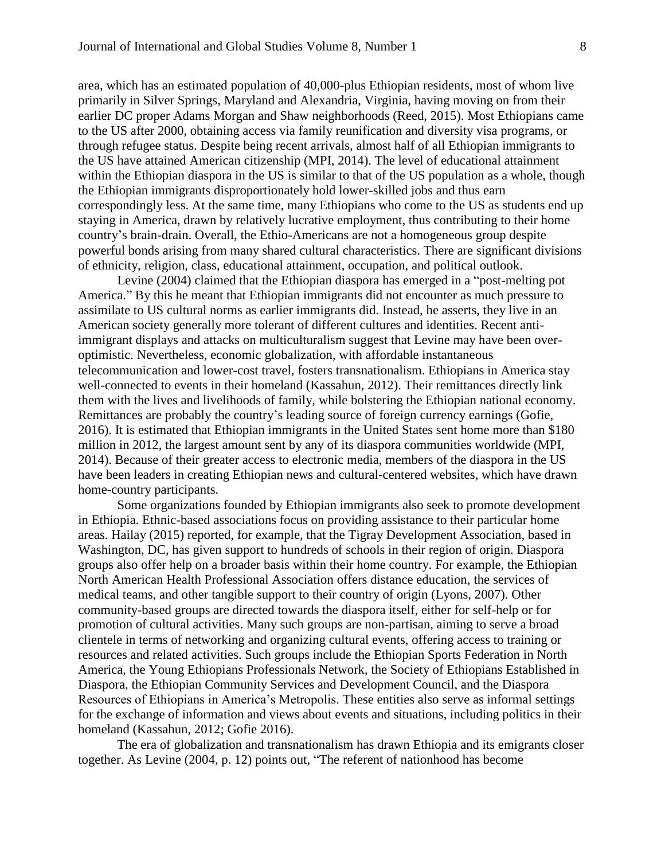area, which has an estimated population of 40,000-plus Ethiopian residents, most of whom live primarily in Silver Springs, Maryland and Alexandria, Virginia, having moving on from their earlier DC proper Adams Morgan and Shaw neighborhoods (Reed, 2015). Most Ethiopians came to the US after 2000, obtaining access via family reunification and diversity visa programs, or through refugee status. Despite being recent arrivals, almost half of all Ethiopian immigrants to the US have attained American citizenship (MPI, 2014). The level of educational attainment within the Ethiopian diaspora in the US is similar to that of the US population as a whole, though the Ethiopian immigrants disproportionately hold lower-skilled jobs and thus earn correspondingly less. At the same time, many Ethiopians who come to the US as students end up staying in America, drawn by relatively lucrative employment, thus contributing to their home country's brain-drain. Overall, the Ethio-Americans are not a homogeneous group despite powerful bonds arising from many shared cultural characteristics. There are significant divisions of ethnicity, religion, class, educational attainment, occupation, and political outlook.

Levine (2004) claimed that the Ethiopian diaspora has emerged in a "post-melting pot America." By this he meant that Ethiopian immigrants did not encounter as much pressure to assimilate to US cultural norms as earlier immigrants did. Instead, he asserts, they live in an American society generally more tolerant of different cultures and identities. Recent antiimmigrant displays and attacks on multiculturalism suggest that Levine may have been overoptimistic. Nevertheless, economic globalization, with affordable instantaneous telecommunication and lower-cost travel, fosters transnationalism. Ethiopians in America stay well-connected to events in their homeland (Kassahun, 2012). Their remittances directly link them with the lives and livelihoods of family, while bolstering the Ethiopian national economy. Remittances are probably the country's leading source of foreign currency earnings (Gofie, 2016). It is estimated that Ethiopian immigrants in the United States sent home more than \$180 million in 2012, the largest amount sent by any of its diaspora communities worldwide (MPI, 2014). Because of their greater access to electronic media, members of the diaspora in the US have been leaders in creating Ethiopian news and cultural-centered websites, which have drawn home-country participants.

Some organizations founded by Ethiopian immigrants also seek to promote development in Ethiopia. Ethnic-based associations focus on providing assistance to their particular home areas. Hailay (2015) reported, for example, that the Tigray Development Association, based in Washington, DC, has given support to hundreds of schools in their region of origin. Diaspora groups also offer help on a broader basis within their home country. For example, the Ethiopian North American Health Professional Association offers distance education, the services of medical teams, and other tangible support to their country of origin (Lyons, 2007). Other community-based groups are directed towards the diaspora itself, either for self-help or for promotion of cultural activities. Many such groups are non-partisan, aiming to serve a broad clientele in terms of networking and organizing cultural events, offering access to training or resources and related activities. Such groups include the Ethiopian Sports Federation in North America, the Young Ethiopians Professionals Network, the Society of Ethiopians Established in Diaspora, the Ethiopian Community Services and Development Council, and the Diaspora Resources of Ethiopians in America's Metropolis. These entities also serve as informal settings for the exchange of information and views about events and situations, including politics in their homeland (Kassahun, 2012; Gofie 2016).

The era of globalization and transnationalism has drawn Ethiopia and its emigrants closer together. As Levine (2004, p. 12) points out, "The referent of nationhood has become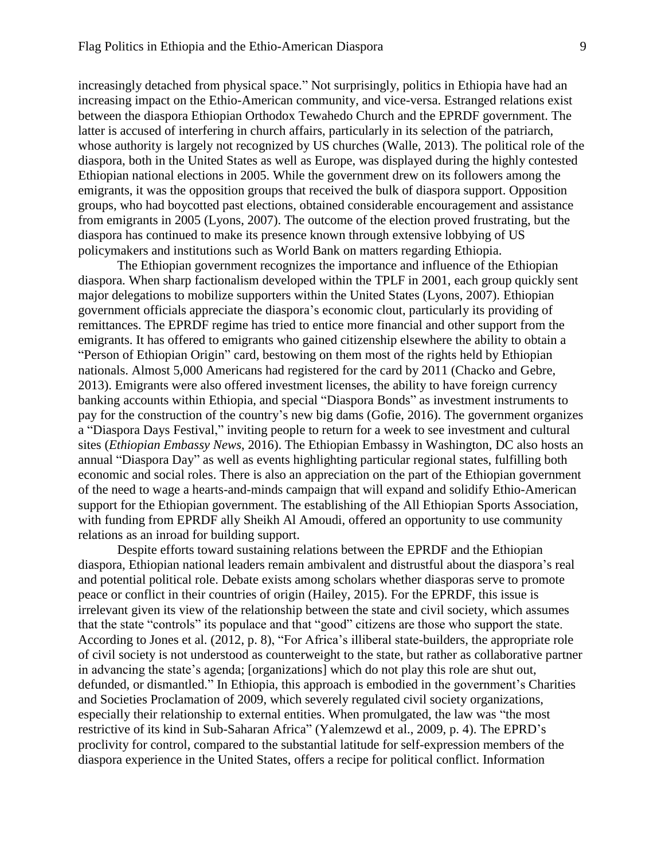increasingly detached from physical space." Not surprisingly, politics in Ethiopia have had an increasing impact on the Ethio-American community, and vice-versa. Estranged relations exist between the diaspora Ethiopian Orthodox Tewahedo Church and the EPRDF government. The latter is accused of interfering in church affairs, particularly in its selection of the patriarch, whose authority is largely not recognized by US churches (Walle, 2013). The political role of the diaspora, both in the United States as well as Europe, was displayed during the highly contested Ethiopian national elections in 2005. While the government drew on its followers among the emigrants, it was the opposition groups that received the bulk of diaspora support. Opposition groups, who had boycotted past elections, obtained considerable encouragement and assistance from emigrants in 2005 (Lyons, 2007). The outcome of the election proved frustrating, but the diaspora has continued to make its presence known through extensive lobbying of US policymakers and institutions such as World Bank on matters regarding Ethiopia.

The Ethiopian government recognizes the importance and influence of the Ethiopian diaspora. When sharp factionalism developed within the TPLF in 2001, each group quickly sent major delegations to mobilize supporters within the United States (Lyons, 2007). Ethiopian government officials appreciate the diaspora's economic clout, particularly its providing of remittances. The EPRDF regime has tried to entice more financial and other support from the emigrants. It has offered to emigrants who gained citizenship elsewhere the ability to obtain a "Person of Ethiopian Origin" card, bestowing on them most of the rights held by Ethiopian nationals. Almost 5,000 Americans had registered for the card by 2011 (Chacko and Gebre, 2013). Emigrants were also offered investment licenses, the ability to have foreign currency banking accounts within Ethiopia, and special "Diaspora Bonds" as investment instruments to pay for the construction of the country's new big dams (Gofie, 2016). The government organizes a "Diaspora Days Festival," inviting people to return for a week to see investment and cultural sites (*Ethiopian Embassy News*, 2016). The Ethiopian Embassy in Washington, DC also hosts an annual "Diaspora Day" as well as events highlighting particular regional states, fulfilling both economic and social roles. There is also an appreciation on the part of the Ethiopian government of the need to wage a hearts-and-minds campaign that will expand and solidify Ethio-American support for the Ethiopian government. The establishing of the All Ethiopian Sports Association, with funding from EPRDF ally Sheikh Al Amoudi, offered an opportunity to use community relations as an inroad for building support.

Despite efforts toward sustaining relations between the EPRDF and the Ethiopian diaspora, Ethiopian national leaders remain ambivalent and distrustful about the diaspora's real and potential political role. Debate exists among scholars whether diasporas serve to promote peace or conflict in their countries of origin (Hailey, 2015). For the EPRDF, this issue is irrelevant given its view of the relationship between the state and civil society, which assumes that the state "controls" its populace and that "good" citizens are those who support the state. According to Jones et al. (2012, p. 8), "For Africa's illiberal state-builders, the appropriate role of civil society is not understood as counterweight to the state, but rather as collaborative partner in advancing the state's agenda; [organizations] which do not play this role are shut out, defunded, or dismantled." In Ethiopia, this approach is embodied in the government's Charities and Societies Proclamation of 2009, which severely regulated civil society organizations, especially their relationship to external entities. When promulgated, the law was "the most restrictive of its kind in Sub-Saharan Africa" (Yalemzewd et al., 2009, p. 4). The EPRD's proclivity for control, compared to the substantial latitude for self-expression members of the diaspora experience in the United States, offers a recipe for political conflict. Information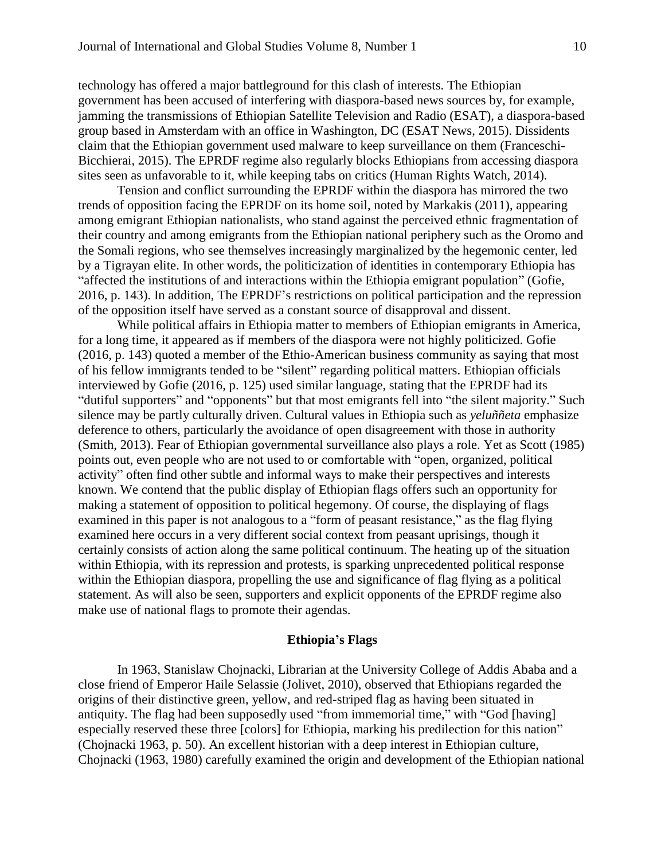technology has offered a major battleground for this clash of interests. The Ethiopian government has been accused of interfering with diaspora-based news sources by, for example, jamming the transmissions of Ethiopian Satellite Television and Radio (ESAT), a diaspora-based group based in Amsterdam with an office in Washington, DC (ESAT News, 2015). Dissidents claim that the Ethiopian government used malware to keep surveillance on them (Franceschi-Bicchierai, 2015). The EPRDF regime also regularly blocks Ethiopians from accessing diaspora sites seen as unfavorable to it, while keeping tabs on critics (Human Rights Watch, 2014).

Tension and conflict surrounding the EPRDF within the diaspora has mirrored the two trends of opposition facing the EPRDF on its home soil, noted by Markakis (2011), appearing among emigrant Ethiopian nationalists, who stand against the perceived ethnic fragmentation of their country and among emigrants from the Ethiopian national periphery such as the Oromo and the Somali regions, who see themselves increasingly marginalized by the hegemonic center, led by a Tigrayan elite. In other words, the politicization of identities in contemporary Ethiopia has "affected the institutions of and interactions within the Ethiopia emigrant population" (Gofie, 2016, p. 143). In addition, The EPRDF's restrictions on political participation and the repression of the opposition itself have served as a constant source of disapproval and dissent.

While political affairs in Ethiopia matter to members of Ethiopian emigrants in America, for a long time, it appeared as if members of the diaspora were not highly politicized. Gofie (2016, p. 143) quoted a member of the Ethio-American business community as saying that most of his fellow immigrants tended to be "silent" regarding political matters. Ethiopian officials interviewed by Gofie (2016, p. 125) used similar language, stating that the EPRDF had its "dutiful supporters" and "opponents" but that most emigrants fell into "the silent majority." Such silence may be partly culturally driven. Cultural values in Ethiopia such as *yeluññeta* emphasize deference to others, particularly the avoidance of open disagreement with those in authority (Smith, 2013). Fear of Ethiopian governmental surveillance also plays a role. Yet as Scott (1985) points out, even people who are not used to or comfortable with "open, organized, political activity" often find other subtle and informal ways to make their perspectives and interests known. We contend that the public display of Ethiopian flags offers such an opportunity for making a statement of opposition to political hegemony. Of course, the displaying of flags examined in this paper is not analogous to a "form of peasant resistance," as the flag flying examined here occurs in a very different social context from peasant uprisings, though it certainly consists of action along the same political continuum. The heating up of the situation within Ethiopia, with its repression and protests, is sparking unprecedented political response within the Ethiopian diaspora, propelling the use and significance of flag flying as a political statement. As will also be seen, supporters and explicit opponents of the EPRDF regime also make use of national flags to promote their agendas.

#### **Ethiopia's Flags**

In 1963, Stanislaw Chojnacki, Librarian at the University College of Addis Ababa and a close friend of Emperor Haile Selassie (Jolivet, 2010), observed that Ethiopians regarded the origins of their distinctive green, yellow, and red-striped flag as having been situated in antiquity. The flag had been supposedly used "from immemorial time," with "God [having] especially reserved these three [colors] for Ethiopia, marking his predilection for this nation" (Chojnacki 1963, p. 50). An excellent historian with a deep interest in Ethiopian culture, Chojnacki (1963, 1980) carefully examined the origin and development of the Ethiopian national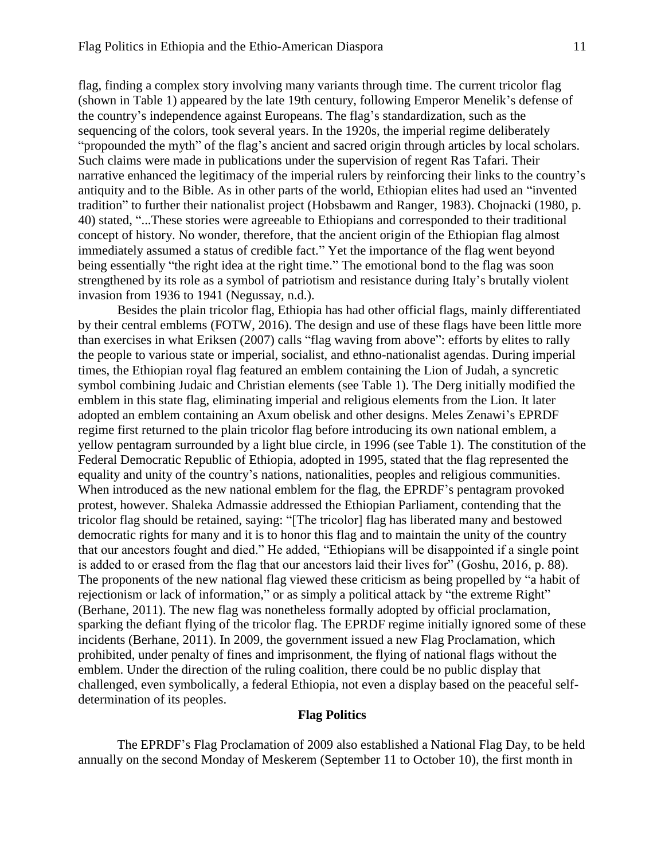flag, finding a complex story involving many variants through time. The current tricolor flag (shown in Table 1) appeared by the late 19th century, following Emperor Menelik's defense of the country's independence against Europeans. The flag's standardization, such as the sequencing of the colors, took several years. In the 1920s, the imperial regime deliberately "propounded the myth" of the flag's ancient and sacred origin through articles by local scholars. Such claims were made in publications under the supervision of regent Ras Tafari. Their narrative enhanced the legitimacy of the imperial rulers by reinforcing their links to the country's antiquity and to the Bible. As in other parts of the world, Ethiopian elites had used an "invented tradition" to further their nationalist project (Hobsbawm and Ranger, 1983). Chojnacki (1980, p. 40) stated, "...These stories were agreeable to Ethiopians and corresponded to their traditional concept of history. No wonder, therefore, that the ancient origin of the Ethiopian flag almost immediately assumed a status of credible fact." Yet the importance of the flag went beyond being essentially "the right idea at the right time." The emotional bond to the flag was soon strengthened by its role as a symbol of patriotism and resistance during Italy's brutally violent invasion from 1936 to 1941 (Negussay, n.d.).

Besides the plain tricolor flag, Ethiopia has had other official flags, mainly differentiated by their central emblems (FOTW, 2016). The design and use of these flags have been little more than exercises in what Eriksen (2007) calls "flag waving from above": efforts by elites to rally the people to various state or imperial, socialist, and ethno-nationalist agendas. During imperial times, the Ethiopian royal flag featured an emblem containing the Lion of Judah, a syncretic symbol combining Judaic and Christian elements (see Table 1). The Derg initially modified the emblem in this state flag, eliminating imperial and religious elements from the Lion. It later adopted an emblem containing an Axum obelisk and other designs. Meles Zenawi's EPRDF regime first returned to the plain tricolor flag before introducing its own national emblem, a yellow pentagram surrounded by a light blue circle, in 1996 (see Table 1). The constitution of the Federal Democratic Republic of Ethiopia, adopted in 1995, stated that the flag represented the equality and unity of the country's nations, nationalities, peoples and religious communities. When introduced as the new national emblem for the flag, the EPRDF's pentagram provoked protest, however. Shaleka Admassie addressed the Ethiopian Parliament, contending that the tricolor flag should be retained, saying: "[The tricolor] flag has liberated many and bestowed democratic rights for many and it is to honor this flag and to maintain the unity of the country that our ancestors fought and died." He added, "Ethiopians will be disappointed if a single point is added to or erased from the flag that our ancestors laid their lives for" (Goshu, 2016, p. 88). The proponents of the new national flag viewed these criticism as being propelled by "a habit of rejectionism or lack of information," or as simply a political attack by "the extreme Right" (Berhane, 2011). The new flag was nonetheless formally adopted by official proclamation, sparking the defiant flying of the tricolor flag. The EPRDF regime initially ignored some of these incidents (Berhane, 2011). In 2009, the government issued a new Flag Proclamation, which prohibited, under penalty of fines and imprisonment, the flying of national flags without the emblem. Under the direction of the ruling coalition, there could be no public display that challenged, even symbolically, a federal Ethiopia, not even a display based on the peaceful selfdetermination of its peoples.

#### **Flag Politics**

The EPRDF's Flag Proclamation of 2009 also established a National Flag Day, to be held annually on the second Monday of Meskerem (September 11 to October 10), the first month in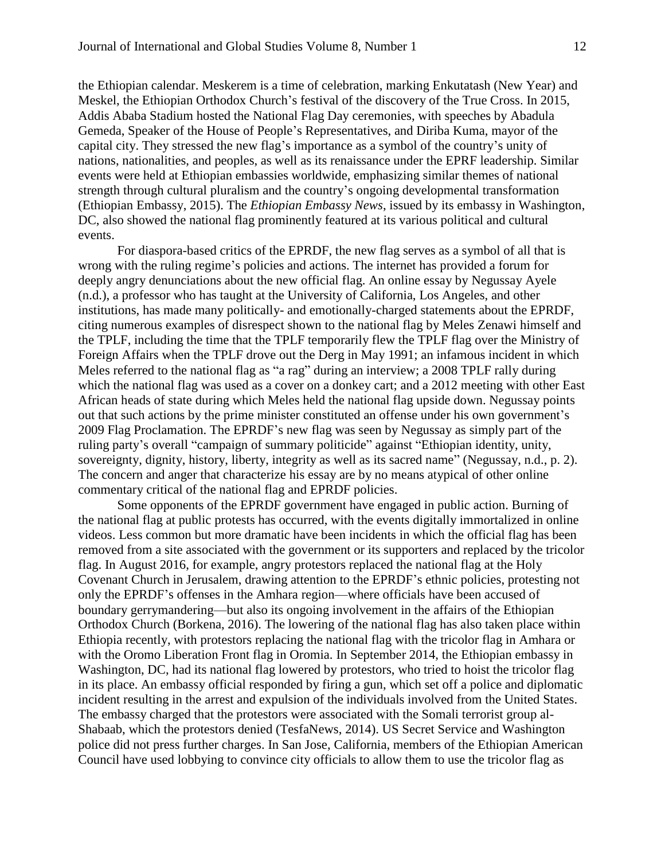the Ethiopian calendar. Meskerem is a time of celebration, marking Enkutatash (New Year) and Meskel, the Ethiopian Orthodox Church's festival of the discovery of the True Cross. In 2015, Addis Ababa Stadium hosted the National Flag Day ceremonies, with speeches by Abadula Gemeda, Speaker of the House of People's Representatives, and Diriba Kuma, mayor of the capital city. They stressed the new flag's importance as a symbol of the country's unity of nations, nationalities, and peoples, as well as its renaissance under the EPRF leadership. Similar events were held at Ethiopian embassies worldwide, emphasizing similar themes of national strength through cultural pluralism and the country's ongoing developmental transformation (Ethiopian Embassy, 2015). The *Ethiopian Embassy News*, issued by its embassy in Washington, DC, also showed the national flag prominently featured at its various political and cultural events.

For diaspora-based critics of the EPRDF, the new flag serves as a symbol of all that is wrong with the ruling regime's policies and actions. The internet has provided a forum for deeply angry denunciations about the new official flag. An online essay by Negussay Ayele (n.d.), a professor who has taught at the University of California, Los Angeles, and other institutions, has made many politically- and emotionally-charged statements about the EPRDF, citing numerous examples of disrespect shown to the national flag by Meles Zenawi himself and the TPLF, including the time that the TPLF temporarily flew the TPLF flag over the Ministry of Foreign Affairs when the TPLF drove out the Derg in May 1991; an infamous incident in which Meles referred to the national flag as "a rag" during an interview; a 2008 TPLF rally during which the national flag was used as a cover on a donkey cart; and a 2012 meeting with other East African heads of state during which Meles held the national flag upside down. Negussay points out that such actions by the prime minister constituted an offense under his own government's 2009 Flag Proclamation. The EPRDF's new flag was seen by Negussay as simply part of the ruling party's overall "campaign of summary politicide" against "Ethiopian identity, unity, sovereignty, dignity, history, liberty, integrity as well as its sacred name" (Negussay, n.d., p. 2). The concern and anger that characterize his essay are by no means atypical of other online commentary critical of the national flag and EPRDF policies.

Some opponents of the EPRDF government have engaged in public action. Burning of the national flag at public protests has occurred, with the events digitally immortalized in online videos. Less common but more dramatic have been incidents in which the official flag has been removed from a site associated with the government or its supporters and replaced by the tricolor flag. In August 2016, for example, angry protestors replaced the national flag at the Holy Covenant Church in Jerusalem, drawing attention to the EPRDF's ethnic policies, protesting not only the EPRDF's offenses in the Amhara region—where officials have been accused of boundary gerrymandering—but also its ongoing involvement in the affairs of the Ethiopian Orthodox Church (Borkena, 2016). The lowering of the national flag has also taken place within Ethiopia recently, with protestors replacing the national flag with the tricolor flag in Amhara or with the Oromo Liberation Front flag in Oromia. In September 2014, the Ethiopian embassy in Washington, DC, had its national flag lowered by protestors, who tried to hoist the tricolor flag in its place. An embassy official responded by firing a gun, which set off a police and diplomatic incident resulting in the arrest and expulsion of the individuals involved from the United States. The embassy charged that the protestors were associated with the Somali terrorist group al-Shabaab, which the protestors denied (TesfaNews, 2014). US Secret Service and Washington police did not press further charges. In San Jose, California, members of the Ethiopian American Council have used lobbying to convince city officials to allow them to use the tricolor flag as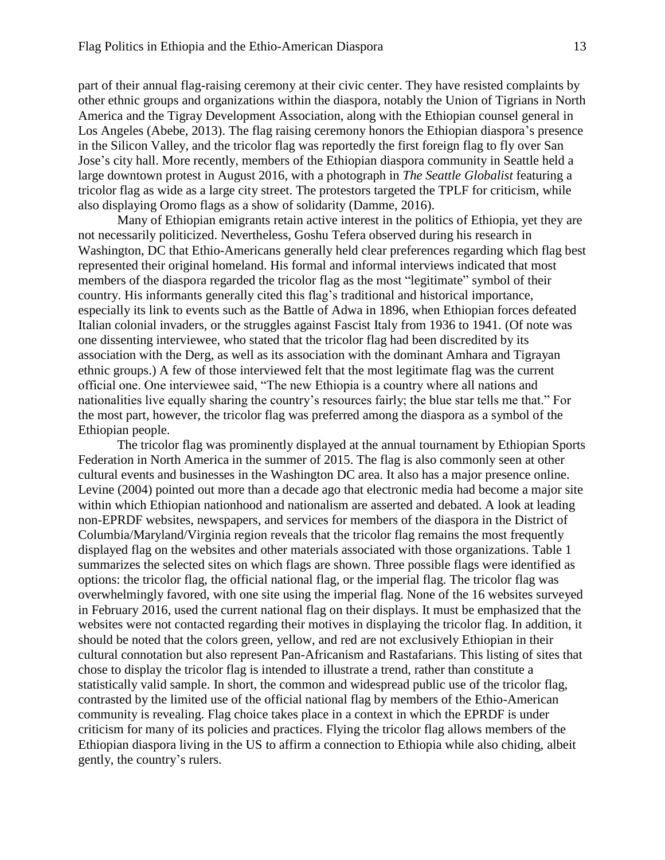part of their annual flag-raising ceremony at their civic center. They have resisted complaints by other ethnic groups and organizations within the diaspora, notably the Union of Tigrians in North America and the Tigray Development Association, along with the Ethiopian counsel general in Los Angeles (Abebe, 2013). The flag raising ceremony honors the Ethiopian diaspora's presence in the Silicon Valley, and the tricolor flag was reportedly the first foreign flag to fly over San Jose's city hall. More recently, members of the Ethiopian diaspora community in Seattle held a large downtown protest in August 2016, with a photograph in *The Seattle Globalist* featuring a tricolor flag as wide as a large city street. The protestors targeted the TPLF for criticism, while also displaying Oromo flags as a show of solidarity (Damme, 2016).

Many of Ethiopian emigrants retain active interest in the politics of Ethiopia, yet they are not necessarily politicized. Nevertheless, Goshu Tefera observed during his research in Washington, DC that Ethio-Americans generally held clear preferences regarding which flag best represented their original homeland. His formal and informal interviews indicated that most members of the diaspora regarded the tricolor flag as the most "legitimate" symbol of their country. His informants generally cited this flag's traditional and historical importance, especially its link to events such as the Battle of Adwa in 1896, when Ethiopian forces defeated Italian colonial invaders, or the struggles against Fascist Italy from 1936 to 1941. (Of note was one dissenting interviewee, who stated that the tricolor flag had been discredited by its association with the Derg, as well as its association with the dominant Amhara and Tigrayan ethnic groups.) A few of those interviewed felt that the most legitimate flag was the current official one. One interviewee said, "The new Ethiopia is a country where all nations and nationalities live equally sharing the country's resources fairly; the blue star tells me that." For the most part, however, the tricolor flag was preferred among the diaspora as a symbol of the Ethiopian people.

The tricolor flag was prominently displayed at the annual tournament by Ethiopian Sports Federation in North America in the summer of 2015. The flag is also commonly seen at other cultural events and businesses in the Washington DC area. It also has a major presence online. Levine (2004) pointed out more than a decade ago that electronic media had become a major site within which Ethiopian nationhood and nationalism are asserted and debated. A look at leading non-EPRDF websites, newspapers, and services for members of the diaspora in the District of Columbia/Maryland/Virginia region reveals that the tricolor flag remains the most frequently displayed flag on the websites and other materials associated with those organizations. Table 1 summarizes the selected sites on which flags are shown. Three possible flags were identified as options: the tricolor flag, the official national flag, or the imperial flag. The tricolor flag was overwhelmingly favored, with one site using the imperial flag. None of the 16 websites surveyed in February 2016, used the current national flag on their displays. It must be emphasized that the websites were not contacted regarding their motives in displaying the tricolor flag. In addition, it should be noted that the colors green, yellow, and red are not exclusively Ethiopian in their cultural connotation but also represent Pan-Africanism and Rastafarians. This listing of sites that chose to display the tricolor flag is intended to illustrate a trend, rather than constitute a statistically valid sample. In short, the common and widespread public use of the tricolor flag, contrasted by the limited use of the official national flag by members of the Ethio-American community is revealing. Flag choice takes place in a context in which the EPRDF is under criticism for many of its policies and practices. Flying the tricolor flag allows members of the Ethiopian diaspora living in the US to affirm a connection to Ethiopia while also chiding, albeit gently, the country's rulers.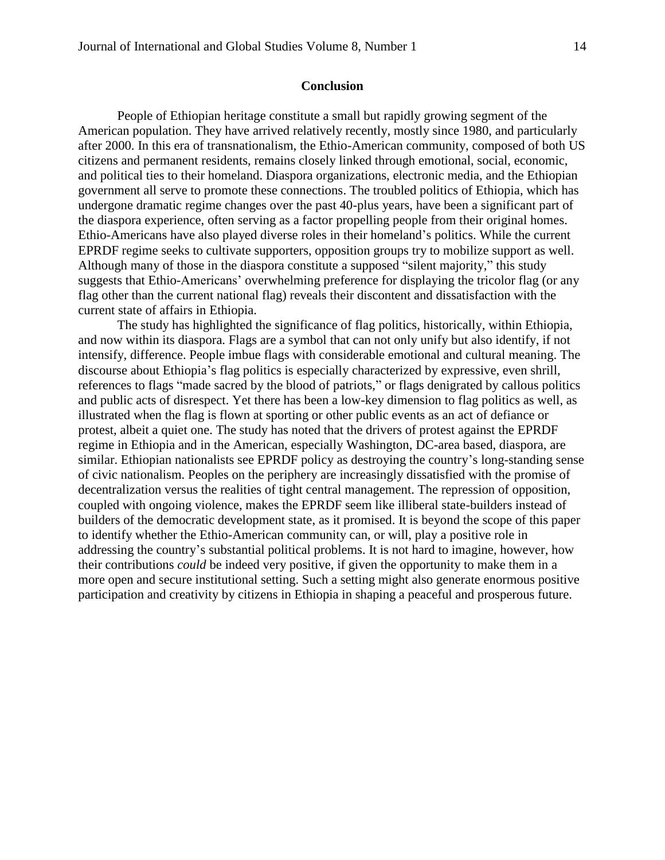#### **Conclusion**

People of Ethiopian heritage constitute a small but rapidly growing segment of the American population. They have arrived relatively recently, mostly since 1980, and particularly after 2000. In this era of transnationalism, the Ethio-American community, composed of both US citizens and permanent residents, remains closely linked through emotional, social, economic, and political ties to their homeland. Diaspora organizations, electronic media, and the Ethiopian government all serve to promote these connections. The troubled politics of Ethiopia, which has undergone dramatic regime changes over the past 40-plus years, have been a significant part of the diaspora experience, often serving as a factor propelling people from their original homes. Ethio-Americans have also played diverse roles in their homeland's politics. While the current EPRDF regime seeks to cultivate supporters, opposition groups try to mobilize support as well. Although many of those in the diaspora constitute a supposed "silent majority," this study suggests that Ethio-Americans' overwhelming preference for displaying the tricolor flag (or any flag other than the current national flag) reveals their discontent and dissatisfaction with the current state of affairs in Ethiopia.

The study has highlighted the significance of flag politics, historically, within Ethiopia, and now within its diaspora. Flags are a symbol that can not only unify but also identify, if not intensify, difference. People imbue flags with considerable emotional and cultural meaning. The discourse about Ethiopia's flag politics is especially characterized by expressive, even shrill, references to flags "made sacred by the blood of patriots," or flags denigrated by callous politics and public acts of disrespect. Yet there has been a low-key dimension to flag politics as well, as illustrated when the flag is flown at sporting or other public events as an act of defiance or protest, albeit a quiet one. The study has noted that the drivers of protest against the EPRDF regime in Ethiopia and in the American, especially Washington, DC-area based, diaspora, are similar. Ethiopian nationalists see EPRDF policy as destroying the country's long-standing sense of civic nationalism. Peoples on the periphery are increasingly dissatisfied with the promise of decentralization versus the realities of tight central management. The repression of opposition, coupled with ongoing violence, makes the EPRDF seem like illiberal state-builders instead of builders of the democratic development state, as it promised. It is beyond the scope of this paper to identify whether the Ethio-American community can, or will, play a positive role in addressing the country's substantial political problems. It is not hard to imagine, however, how their contributions *could* be indeed very positive, if given the opportunity to make them in a more open and secure institutional setting. Such a setting might also generate enormous positive participation and creativity by citizens in Ethiopia in shaping a peaceful and prosperous future.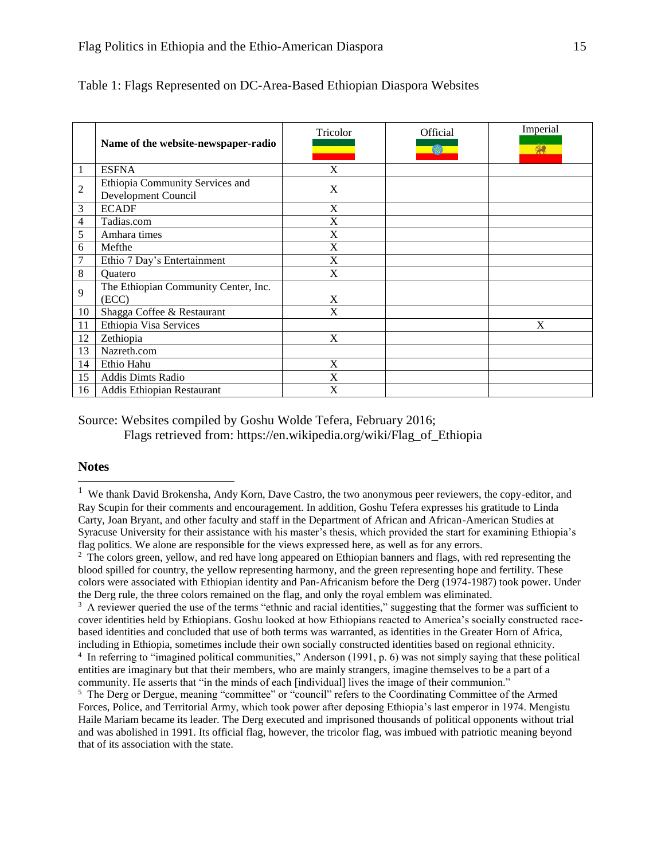|    | Name of the website-newspaper-radio                    | Tricolor     | Official<br>633 | Imperial<br>梨 |
|----|--------------------------------------------------------|--------------|-----------------|---------------|
| 1  | <b>ESFNA</b>                                           | X            |                 |               |
| 2  | Ethiopia Community Services and<br>Development Council | X            |                 |               |
| 3  | <b>ECADF</b>                                           | X            |                 |               |
| 4  | Tadias.com                                             | X            |                 |               |
| 5  | Amhara times                                           | X            |                 |               |
| 6  | Mefthe                                                 | X            |                 |               |
| 7  | Ethio 7 Day's Entertainment                            | X            |                 |               |
| 8  | Quatero                                                | X            |                 |               |
| 9  | The Ethiopian Community Center, Inc.<br>(ECC)          | $\mathbf{X}$ |                 |               |
| 10 | Shagga Coffee & Restaurant                             | X            |                 |               |
| 11 | Ethiopia Visa Services                                 |              |                 | $\bf{X}$      |
| 12 | Zethiopia                                              | X            |                 |               |
| 13 | Nazreth.com                                            |              |                 |               |
| 14 | Ethio Hahu                                             | X            |                 |               |
| 15 | <b>Addis Dimts Radio</b>                               | X            |                 |               |
| 16 | Addis Ethiopian Restaurant                             | X            |                 |               |

#### Table 1: Flags Represented on DC-Area-Based Ethiopian Diaspora Websites

Source: Websites compiled by Goshu Wolde Tefera, February 2016; Flags retrieved from: https://en.wikipedia.org/wiki/Flag\_of\_Ethiopia

#### **Notes**

l

<sup>3</sup> A reviewer queried the use of the terms "ethnic and racial identities," suggesting that the former was sufficient to cover identities held by Ethiopians. Goshu looked at how Ethiopians reacted to America's socially constructed racebased identities and concluded that use of both terms was warranted, as identities in the Greater Horn of Africa, including in Ethiopia, sometimes include their own socially constructed identities based on regional ethnicity. <sup>4</sup> In referring to "imagined political communities," Anderson (1991, p. 6) was not simply saying that these political entities are imaginary but that their members, who are mainly strangers, imagine themselves to be a part of a community. He asserts that "in the minds of each [individual] lives the image of their communion."

<sup>5</sup> The Derg or Dergue, meaning "committee" or "council" refers to the Coordinating Committee of the Armed Forces, Police, and Territorial Army, which took power after deposing Ethiopia's last emperor in 1974. Mengistu Haile Mariam became its leader. The Derg executed and imprisoned thousands of political opponents without trial and was abolished in 1991. Its official flag, however, the tricolor flag, was imbued with patriotic meaning beyond that of its association with the state.

<sup>&</sup>lt;sup>1</sup> We thank David Brokensha, Andy Korn, Dave Castro, the two anonymous peer reviewers, the copy-editor, and Ray Scupin for their comments and encouragement. In addition, Goshu Tefera expresses his gratitude to Linda Carty, Joan Bryant, and other faculty and staff in the Department of African and African-American Studies at Syracuse University for their assistance with his master's thesis, which provided the start for examining Ethiopia's flag politics. We alone are responsible for the views expressed here, as well as for any errors.

<sup>&</sup>lt;sup>2</sup> The colors green, yellow, and red have long appeared on Ethiopian banners and flags, with red representing the blood spilled for country, the yellow representing harmony, and the green representing hope and fertility. These colors were associated with Ethiopian identity and Pan-Africanism before the Derg (1974-1987) took power. Under the Derg rule, the three colors remained on the flag, and only the royal emblem was eliminated.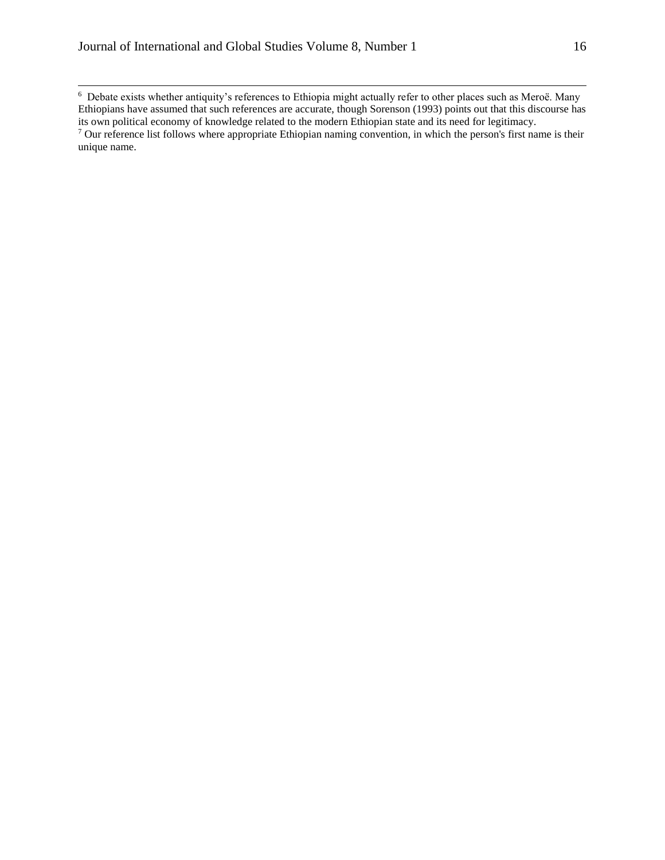$\overline{\phantom{a}}$ 

 $6$  Debate exists whether antiquity's references to Ethiopia might actually refer to other places such as Meroë. Many Ethiopians have assumed that such references are accurate, though Sorenson (1993) points out that this discourse has its own political economy of knowledge related to the modern Ethiopian state and its need for legitimacy.  $\frac{1}{2}$  Our reference list follows where appropriate Ethiopian naming convention, in which the person's first name is their unique name.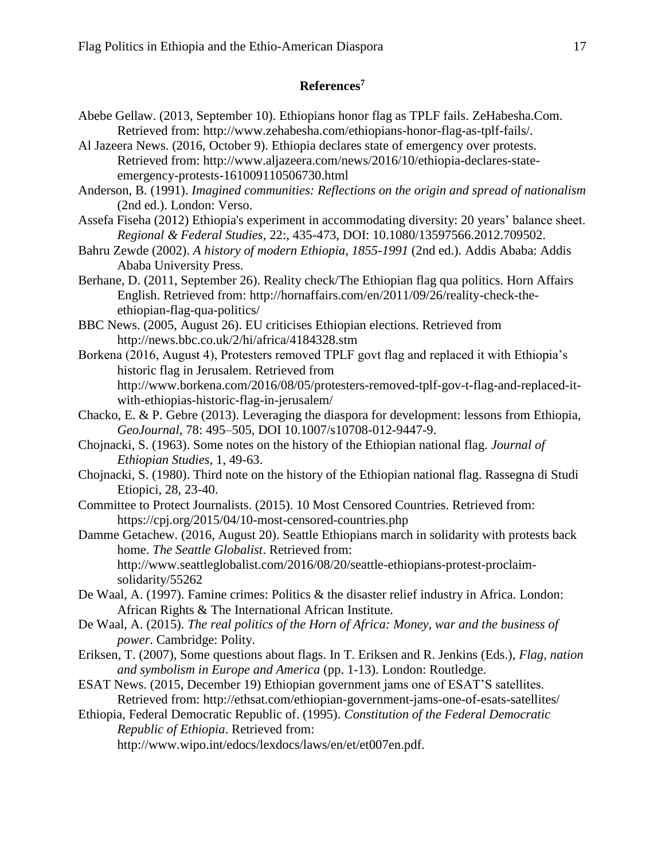### **References<sup>7</sup>**

- Abebe Gellaw. (2013, September 10). Ethiopians honor flag as TPLF fails. ZeHabesha.Com. Retrieved from: http://www.zehabesha.com/ethiopians-honor-flag-as-tplf-fails/.
- Al Jazeera News. (2016, October 9). Ethiopia declares state of emergency over protests. Retrieved from: http://www.aljazeera.com/news/2016/10/ethiopia-declares-stateemergency-protests-161009110506730.html
- Anderson, B. (1991). *Imagined communities: Reflections on the origin and spread of nationalism* (2nd ed.). London: Verso.
- Assefa Fiseha (2012) Ethiopia's experiment in accommodating diversity: 20 years' balance sheet. *Regional & Federal Studies*, 22:, 435-473, DOI: 10.1080/13597566.2012.709502.
- Bahru Zewde (2002). *A history of modern Ethiopia, 1855-1991* (2nd ed.). Addis Ababa: Addis Ababa University Press.
- Berhane, D. (2011, September 26). Reality check/The Ethiopian flag qua politics. Horn Affairs English. Retrieved from: http://hornaffairs.com/en/2011/09/26/reality-check-theethiopian-flag-qua-politics/
- BBC News. (2005, August 26). EU criticises Ethiopian elections. Retrieved from http://news.bbc.co.uk/2/hi/africa/4184328.stm
- Borkena (2016, August 4), Protesters removed TPLF govt flag and replaced it with Ethiopia's historic flag in Jerusalem. Retrieved from http://www.borkena.com/2016/08/05/protesters-removed-tplf-gov-t-flag-and-replaced-itwith-ethiopias-historic-flag-in-jerusalem/
- Chacko, E. & P. Gebre (2013). Leveraging the diaspora for development: lessons from Ethiopia, *GeoJournal*, 78: 495–505, DOI 10.1007/s10708-012-9447-9.
- Chojnacki, S. (1963). Some notes on the history of the Ethiopian national flag. *Journal of Ethiopian Studies*, 1, 49-63.
- Chojnacki, S. (1980). Third note on the history of the Ethiopian national flag. Rassegna di Studi Etiopici, 28, 23-40.
- Committee to Protect Journalists. (2015). 10 Most Censored Countries. Retrieved from: https://cpj.org/2015/04/10-most-censored-countries.php
- Damme Getachew. (2016, August 20). Seattle Ethiopians march in solidarity with protests back home. *The Seattle Globalist*. Retrieved from: http://www.seattleglobalist.com/2016/08/20/seattle-ethiopians-protest-proclaimsolidarity/55262
- De Waal, A. (1997). Famine crimes: Politics & the disaster relief industry in Africa. London: African Rights & The International African Institute.
- De Waal, A. (2015). *The real politics of the Horn of Africa: Money, war and the business of power*. Cambridge: Polity.
- Eriksen, T. (2007), Some questions about flags. In T. Eriksen and R. Jenkins (Eds.), *Flag, nation and symbolism in Europe and America* (pp. 1-13). London: Routledge.
- ESAT News. (2015, December 19) Ethiopian government jams one of ESAT'S satellites. Retrieved from: http://ethsat.com/ethiopian-government-jams-one-of-esats-satellites/
- Ethiopia, Federal Democratic Republic of. (1995). *Constitution of the Federal Democratic Republic of Ethiopia*. Retrieved from:

http://www.wipo.int/edocs/lexdocs/laws/en/et/et007en.pdf.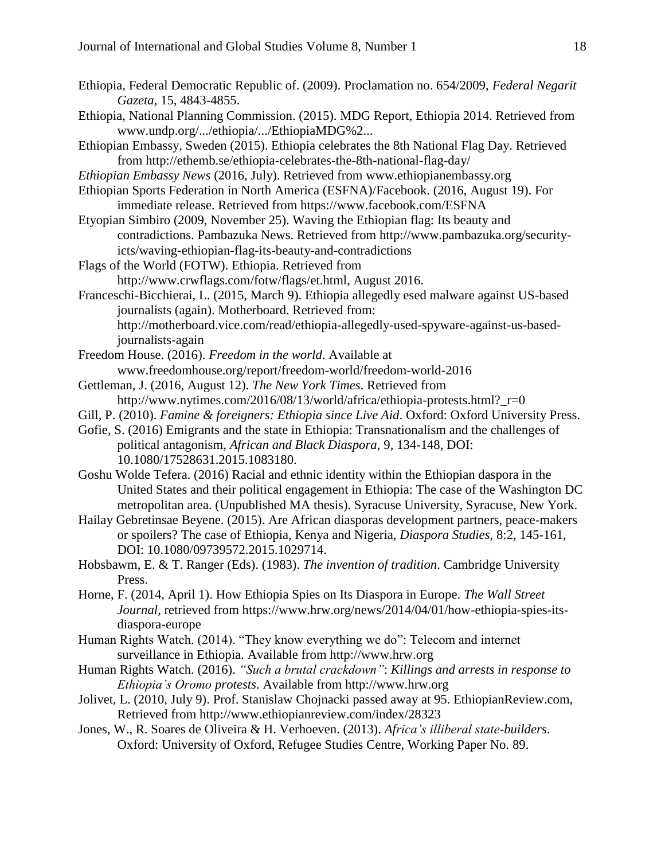- Ethiopia, Federal Democratic Republic of. (2009). Proclamation no. 654/2009, *Federal Negarit Gazeta*, 15, 4843-4855.
- Ethiopia, National Planning Commission. (2015). MDG Report, Ethiopia 2014. Retrieved from www.undp.org/.../ethiopia/.../EthiopiaMDG%2...
- Ethiopian Embassy, Sweden (2015). Ethiopia celebrates the 8th National Flag Day. Retrieved from http://ethemb.se/ethiopia-celebrates-the-8th-national-flag-day/
- *Ethiopian Embassy News* (2016, July). Retrieved from www.ethiopianembassy.org
- Ethiopian Sports Federation in North America (ESFNA)/Facebook. (2016, August 19). For immediate release. Retrieved from https://www.facebook.com/ESFNA
- Etyopian Simbiro (2009, November 25). Waving the Ethiopian flag: Its beauty and contradictions. Pambazuka News. Retrieved from http://www.pambazuka.org/securityicts/waving-ethiopian-flag-its-beauty-and-contradictions
- Flags of the World (FOTW). Ethiopia. Retrieved from http://www.crwflags.com/fotw/flags/et.html, August 2016.
- Franceschi-Bicchierai, L. (2015, March 9). Ethiopia allegedly esed malware against US-based journalists (again). Motherboard. Retrieved from: http://motherboard.vice.com/read/ethiopia-allegedly-used-spyware-against-us-basedjournalists-again
- Freedom House. (2016). *Freedom in the world*. Available at www.freedomhouse.org/report/freedom-world/freedom-world-2016
- Gettleman, J. (2016, August 12). *The New York Times*. Retrieved from http://www.nytimes.com/2016/08/13/world/africa/ethiopia-protests.html?\_r=0
- Gill, P. (2010). *Famine & foreigners: Ethiopia since Live Aid*. Oxford: Oxford University Press.
- Gofie, S. (2016) Emigrants and the state in Ethiopia: Transnationalism and the challenges of political antagonism, *African and Black Diaspora*, 9, 134-148, DOI: 10.1080/17528631.2015.1083180.
- Goshu Wolde Tefera. (2016) Racial and ethnic identity within the Ethiopian daspora in the United States and their political engagement in Ethiopia: The case of the Washington DC metropolitan area. (Unpublished MA thesis). Syracuse University, Syracuse, New York.
- Hailay Gebretinsae Beyene. (2015). Are African diasporas development partners, peace-makers or spoilers? The case of Ethiopia, Kenya and Nigeria, *Diaspora Studies*, 8:2, 145-161, DOI: 10.1080/09739572.2015.1029714.
- Hobsbawm, E. & T. Ranger (Eds). (1983). *The invention of tradition*. Cambridge University Press.
- Horne, F. (2014, April 1). How Ethiopia Spies on Its Diaspora in Europe. *The Wall Street Journal*, retrieved from https://www.hrw.org/news/2014/04/01/how-ethiopia-spies-itsdiaspora-europe
- Human Rights Watch. (2014). "They know everything we do": Telecom and internet surveillance in Ethiopia. Available from http://www.hrw.org
- Human Rights Watch. (2016). *"Such a brutal crackdown"*: *Killings and arrests in response to Ethiopia's Oromo protests*. Available from http://www.hrw.org
- Jolivet, L. (2010, July 9). Prof. Stanislaw Chojnacki passed away at 95. EthiopianReview.com, Retrieved from http://www.ethiopianreview.com/index/28323
- Jones, W., R. Soares de Oliveira & H. Verhoeven. (2013). *Africa's illiberal state-builders*. Oxford: University of Oxford, Refugee Studies Centre, Working Paper No. 89.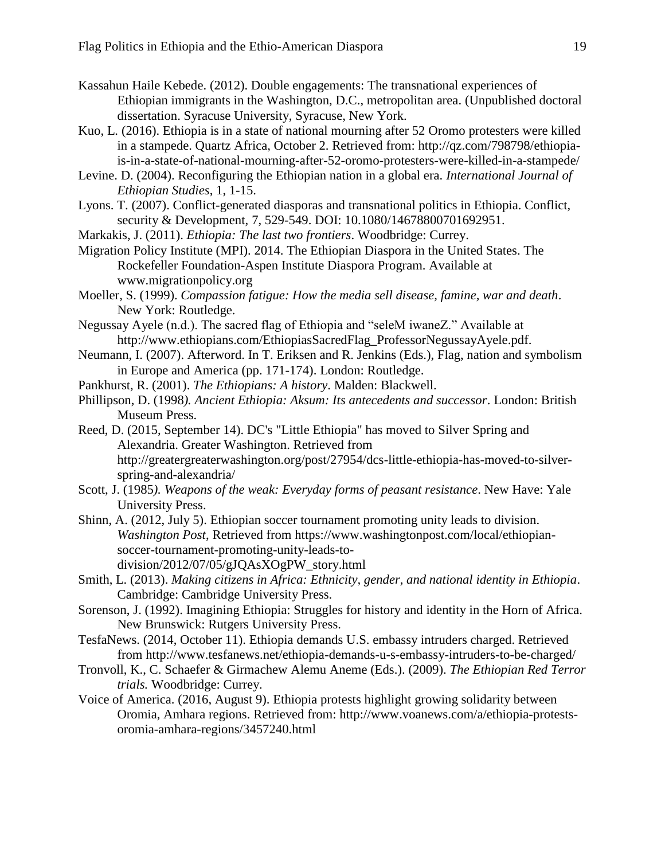- Kassahun Haile Kebede. (2012). Double engagements: The transnational experiences of Ethiopian immigrants in the Washington, D.C., metropolitan area. (Unpublished doctoral dissertation. Syracuse University, Syracuse, New York.
- Kuo, L. (2016). Ethiopia is in a state of national mourning after 52 Oromo protesters were killed in a stampede. Quartz Africa, October 2. Retrieved from: http://qz.com/798798/ethiopiais-in-a-state-of-national-mourning-after-52-oromo-protesters-were-killed-in-a-stampede/
- Levine. D. (2004). Reconfiguring the Ethiopian nation in a global era. *International Journal of Ethiopian Studies*, 1, 1-15.
- Lyons. T. (2007). Conflict-generated diasporas and transnational politics in Ethiopia. Conflict, security & Development, 7, 529-549. DOI: 10.1080/14678800701692951.
- Markakis, J. (2011). *Ethiopia: The last two frontiers*. Woodbridge: Currey.
- Migration Policy Institute (MPI). 2014. The Ethiopian Diaspora in the United States. The Rockefeller Foundation-Aspen Institute Diaspora Program. Available at www.migrationpolicy.org
- Moeller, S. (1999). *Compassion fatigue: How the media sell disease, famine, war and death*. New York: Routledge.
- Negussay Ayele (n.d.). The sacred flag of Ethiopia and "seleM iwaneZ." Available at http://www.ethiopians.com/EthiopiasSacredFlag\_ProfessorNegussayAyele.pdf.
- Neumann, I. (2007). Afterword. In T. Eriksen and R. Jenkins (Eds.), Flag, nation and symbolism in Europe and America (pp. 171-174). London: Routledge.
- Pankhurst, R. (2001). *The Ethiopians: A history*. Malden: Blackwell.
- Phillipson, D. (1998*). Ancient Ethiopia: Aksum: Its antecedents and successor*. London: British Museum Press.
- Reed, D. (2015, September 14). DC's "Little Ethiopia" has moved to Silver Spring and Alexandria. Greater Washington. Retrieved from http://greatergreaterwashington.org/post/27954/dcs-little-ethiopia-has-moved-to-silverspring-and-alexandria/
- Scott, J. (1985*). Weapons of the weak: Everyday forms of peasant resistance*. New Have: Yale University Press.
- Shinn, A. (2012, July 5). Ethiopian soccer tournament promoting unity leads to division. *Washington Post*, Retrieved from https://www.washingtonpost.com/local/ethiopiansoccer-tournament-promoting-unity-leads-todivision/2012/07/05/gJQAsXOgPW\_story.html
- Smith, L. (2013). *Making citizens in Africa: Ethnicity, gender, and national identity in Ethiopia*. Cambridge: Cambridge University Press.
- Sorenson, J. (1992). Imagining Ethiopia: Struggles for history and identity in the Horn of Africa. New Brunswick: Rutgers University Press.
- TesfaNews. (2014, October 11). Ethiopia demands U.S. embassy intruders charged. Retrieved from http://www.tesfanews.net/ethiopia-demands-u-s-embassy-intruders-to-be-charged/
- Tronvoll, K., C. Schaefer & Girmachew Alemu Aneme (Eds.). (2009). *The Ethiopian Red Terror trials.* Woodbridge: Currey.
- Voice of America. (2016, August 9). Ethiopia protests highlight growing solidarity between Oromia, Amhara regions. Retrieved from: http://www.voanews.com/a/ethiopia-protestsoromia-amhara-regions/3457240.html